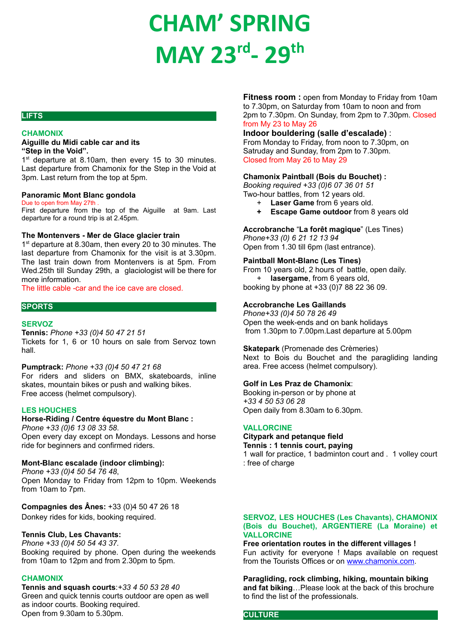# **CHAM' SPRING MAY 23rd- 29th**

# **LIFTS**

# **CHAMONIX**

## **Aiguille du Midi cable car and its "Step in the Void".**

1<sup>st</sup> departure at 8.10am, then every 15 to 30 minutes. Last departure from Chamonix for the Step in the Void at 3pm. Last return from the top at 5pm.

#### **Panoramic Mont Blanc gondola**

#### Due to open from May 27th .

First departure from the top of the Aiguille at 9am. Last departure for a round trip is at 2.45pm.

#### **The Montenvers - Mer de Glace glacier train**

1 st departure at 8.30am, then every 20 to 30 minutes. The last departure from Chamonix for the visit is at 3.30pm. The last train down from Montenvers is at 5pm. From Wed.25th till Sunday 29th, a glaciologist will be there for more information.

# The little cable -car and the ice cave are closed.

#### **SPORTS**

# **SERVOZ**

**Tennis:** *Phone +33 (0)4 50 47 21 51*

Tickets for 1, 6 or 10 hours on sale from Servoz town hall.

#### **Pumptrack:** *Phone +33 (0)4 50 47 21 68*

For riders and sliders on BMX, skateboards, inline skates, mountain bikes or push and walking bikes. Free access (helmet compulsory).

#### **LES HOUCHES**

# **Horse-Riding / Centre équestre du Mont Blanc :**

*Phone +33 (0)6 13 08 33 58*. Open every day except on Mondays. Lessons and horse ride for beginners and confirmed riders.

# **Mont-Blanc escalade (indoor climbing):**

*Phone +33 (0)4 50 54 76 48*, Open Monday to Friday from 12pm to 10pm. Weekends from 10am to 7pm.

**Compagnies des Ânes:** +33 (0)4 50 47 26 18 Donkey rides for kids, booking required.

# **Tennis Club, Les Chavants:**

*Phone +33 (0)4 50 54 43 37.* Booking required by phone. Open during the weekends from 10am to 12pm and from 2.30pm to 5pm.

# **CHAMONIX**

**Tennis and squash courts**:*+33 4 50 53 28 40* Green and quick tennis courts outdoor are open as well as indoor courts. Booking required. Open from 9.30am to 5.30pm.

**Fitness room :** open from Monday to Friday from 10am to 7.30pm, on Saturday from 10am to noon and from 2pm to 7.30pm. On Sunday, from 2pm to 7.30pm. Closed from My 23 to May 26

# **Indoor bouldering (salle d'escalade)** :

From Monday to Friday, from noon to 7.30pm, on Satruday and Sunday, from 2pm to 7.30pm. Closed from May 26 to May 29

#### **Chamonix Paintball (Bois du Bouchet) :**

*Booking required +33 (0)6 07 36 01 51*

- Two-hour battles, from 12 years old.
	- + **Laser Game** from 6 years old. **+ Escape Game outdoor** from 8 years old

# **Accrobranche** "**La forêt magique**" (Les Tines)

*Phone+33 (0) 6 21 12 13 94* Open from 1.30 till 6pm (last entrance).

#### **Paintball Mont-Blanc (Les Tines)**

From 10 years old, 2 hours of battle, open daily. + **lasergame**, from 6 years old, booking by phone at +33 (0)7 88 22 36 09.

#### **Accrobranche Les Gaillands**

*Phone+33 (0)4 50 78 26 49* Open the week-ends and on bank holidays from 1.30pm to 7.00pm.Last departure at 5.00pm

# **Skatepark** (Promenade des Crèmeries)

Next to Bois du Bouchet and the paragliding landing area. Free access (helmet compulsory).

#### **Golf in Les Praz de Chamonix**:

Booking in-person or by phone at *+33 4 50 53 06 28* Open daily from 8.30am to 6.30pm.

#### **VALLORCINE**

**Citypark and petanque field**

**Tennis : 1 tennis court, paying**

1 wall for practice, 1 badminton court and . 1 volley court : free of charge

# **SERVOZ, LES HOUCHES (Les Chavants), CHAMONIX (Bois du Bouchet), ARGENTIERE (La Moraine) et VALLORCINE**

**Free orientation routes in the different villages !** Fun activity for everyone ! Maps available on request from the Tourists Offices or on [www.chamonix.com.](http://www.chamonix.com)

**Paragliding, rock climbing, hiking, mountain biking and fat biking**…Please look at the back of this brochure to find the list of the professionals.

# **CULTURE**